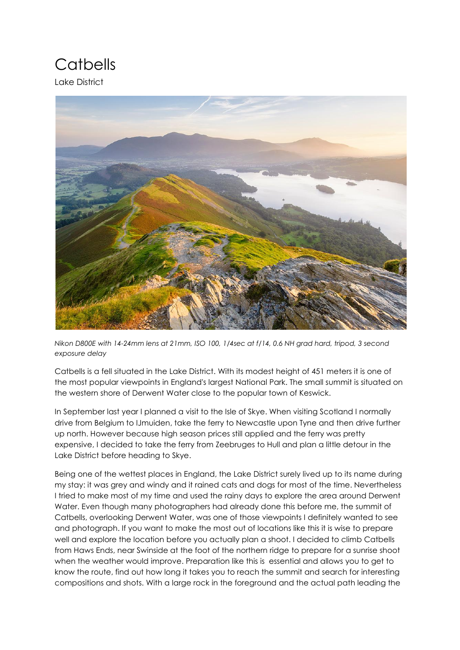## **Catbells**

Lake District



*Nikon D800E with 14-24mm lens at 21mm, ISO 100, 1/4sec at f/14, 0.6 NH grad hard, tripod, 3 second exposure delay*

Catbells is a fell situated in the Lake District. With its modest height of 451 meters it is one of the most popular viewpoints in England's largest National Park. The small summit is situated on the western shore of Derwent Water close to the popular town of Keswick.

In September last year I planned a visit to the Isle of Skye. When visiting Scotland I normally drive from Belgium to IJmuiden, take the ferry to Newcastle upon Tyne and then drive further up north. However because high season prices still applied and the ferry was pretty expensive, I decided to take the ferry from Zeebruges to Hull and plan a little detour in the Lake District before heading to Skye.

Being one of the wettest places in England, the Lake District surely lived up to its name during my stay: it was grey and windy and it rained cats and dogs for most of the time. Nevertheless I tried to make most of my time and used the rainy days to explore the area around Derwent Water. Even though many photographers had already done this before me, the summit of Catbells, overlooking Derwent Water, was one of those viewpoints I definitely wanted to see and photograph. If you want to make the most out of locations like this it is wise to prepare well and explore the location before you actually plan a shoot. I decided to climb Catbells from Haws Ends, near Swinside at the foot of the northern ridge to prepare for a sunrise shoot when the weather would improve. Preparation like this is essential and allows you to get to know the route, find out how long it takes you to reach the summit and search for interesting compositions and shots. With a large rock in the foreground and the actual path leading the